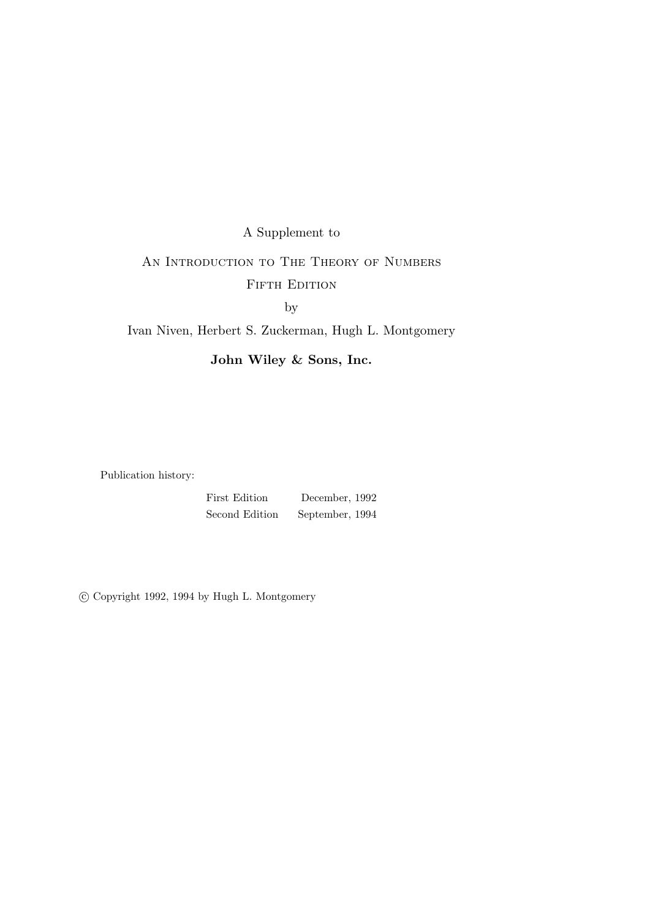# A Supplement to AN INTRODUCTION TO THE THEORY OF NUMBERS FIFTH EDITION

by

#### Ivan Niven, Herbert S. Zuckerman, Hugh L. Montgomery

John Wiley & Sons, Inc.

Publication history:

First Edition December, 1992 Second Edition September, 1994

c Copyright 1992, 1994 by Hugh L. Montgomery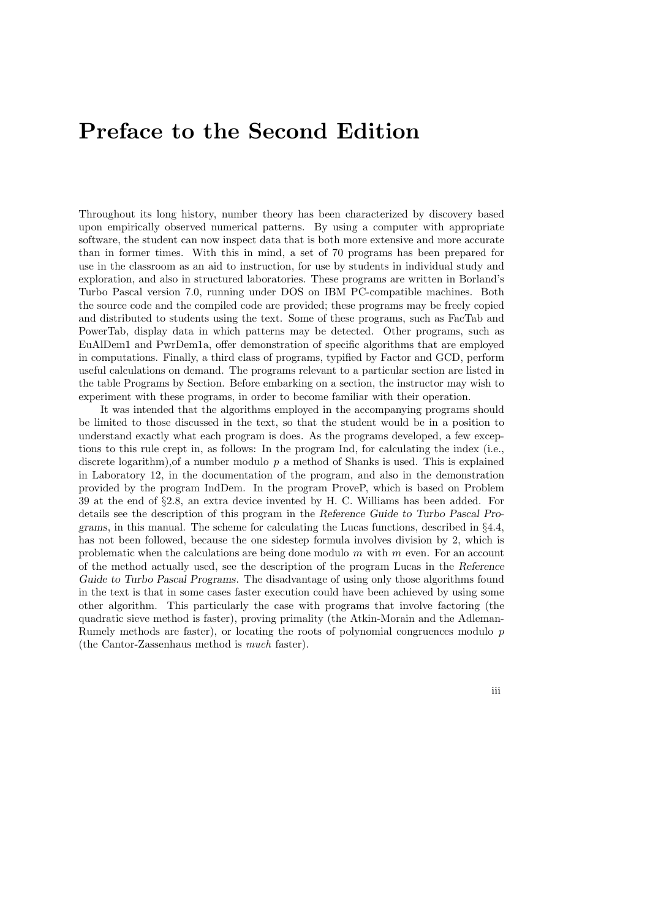## Preface to the Second Edition

Throughout its long history, number theory has been characterized by discovery based upon empirically observed numerical patterns. By using a computer with appropriate software, the student can now inspect data that is both more extensive and more accurate than in former times. With this in mind, a set of 70 programs has been prepared for use in the classroom as an aid to instruction, for use by students in individual study and exploration, and also in structured laboratories. These programs are written in Borland's Turbo Pascal version 7.0, running under DOS on IBM PC-compatible machines. Both the source code and the compiled code are provided; these programs may be freely copied and distributed to students using the text. Some of these programs, such as FacTab and PowerTab, display data in which patterns may be detected. Other programs, such as EuAlDem1 and PwrDem1a, offer demonstration of specific algorithms that are employed in computations. Finally, a third class of programs, typified by Factor and GCD, perform useful calculations on demand. The programs relevant to a particular section are listed in the table Programs by Section. Before embarking on a section, the instructor may wish to experiment with these programs, in order to become familiar with their operation.

It was intended that the algorithms employed in the accompanying programs should be limited to those discussed in the text, so that the student would be in a position to understand exactly what each program is does. As the programs developed, a few exceptions to this rule crept in, as follows: In the program Ind, for calculating the index (i.e., discrete logarithm), of a number modulo  $p$  a method of Shanks is used. This is explained in Laboratory 12, in the documentation of the program, and also in the demonstration provided by the program IndDem. In the program ProveP, which is based on Problem 39 at the end of §2.8, an extra device invented by H. C. Williams has been added. For details see the description of this program in the Reference Guide to Turbo Pascal Programs, in this manual. The scheme for calculating the Lucas functions, described in  $\S 4.4$ , has not been followed, because the one sidestep formula involves division by 2, which is problematic when the calculations are being done modulo m with m even. For an account of the method actually used, see the description of the program Lucas in the Reference Guide to Turbo Pascal Programs. The disadvantage of using only those algorithms found in the text is that in some cases faster execution could have been achieved by using some other algorithm. This particularly the case with programs that involve factoring (the quadratic sieve method is faster), proving primality (the Atkin-Morain and the Adleman-Rumely methods are faster), or locating the roots of polynomial congruences modulo p (the Cantor-Zassenhaus method is much faster).

iii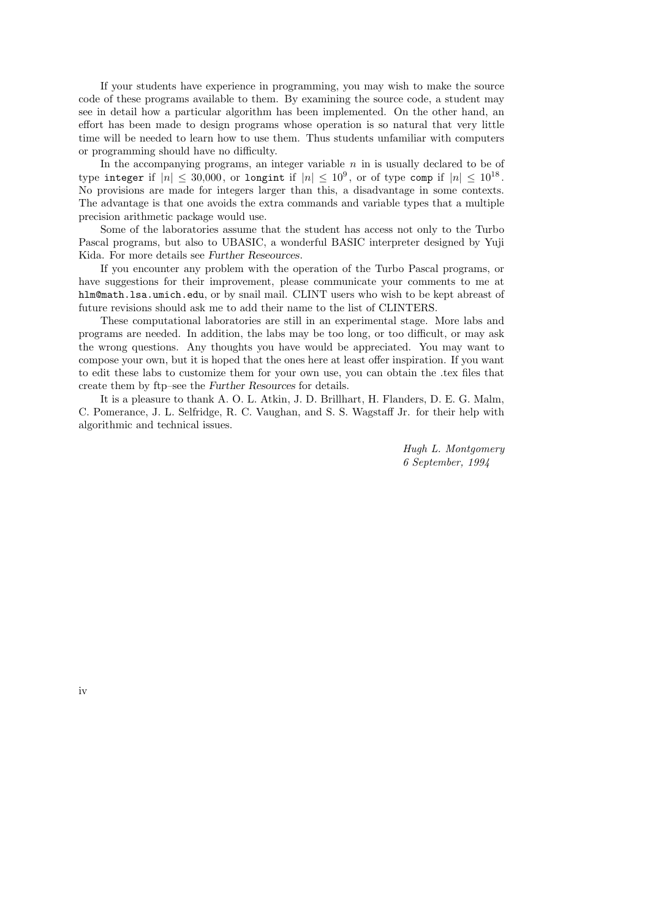If your students have experience in programming, you may wish to make the source code of these programs available to them. By examining the source code, a student may see in detail how a particular algorithm has been implemented. On the other hand, an effort has been made to design programs whose operation is so natural that very little time will be needed to learn how to use them. Thus students unfamiliar with computers or programming should have no difficulty.

In the accompanying programs, an integer variable  $n$  in is usually declared to be of type integer if  $|n| \leq 30{,}000$ , or longint if  $|n| \leq 10^9,$  or of type comp if  $|n| \leq 10^{18}$ . No provisions are made for integers larger than this, a disadvantage in some contexts. The advantage is that one avoids the extra commands and variable types that a multiple precision arithmetic package would use.

Some of the laboratories assume that the student has access not only to the Turbo Pascal programs, but also to UBASIC, a wonderful BASIC interpreter designed by Yuji Kida. For more details see Further Reseources.

If you encounter any problem with the operation of the Turbo Pascal programs, or have suggestions for their improvement, please communicate your comments to me at hlm@math.lsa.umich.edu, or by snail mail. CLINT users who wish to be kept abreast of future revisions should ask me to add their name to the list of CLINTERS.

These computational laboratories are still in an experimental stage. More labs and programs are needed. In addition, the labs may be too long, or too difficult, or may ask the wrong questions. Any thoughts you have would be appreciated. You may want to compose your own, but it is hoped that the ones here at least offer inspiration. If you want to edit these labs to customize them for your own use, you can obtain the .tex files that create them by ftp–see the Further Resources for details.

It is a pleasure to thank A. O. L. Atkin, J. D. Brillhart, H. Flanders, D. E. G. Malm, C. Pomerance, J. L. Selfridge, R. C. Vaughan, and S. S. Wagstaff Jr. for their help with algorithmic and technical issues.

> Hugh L. Montgomery 6 September, 1994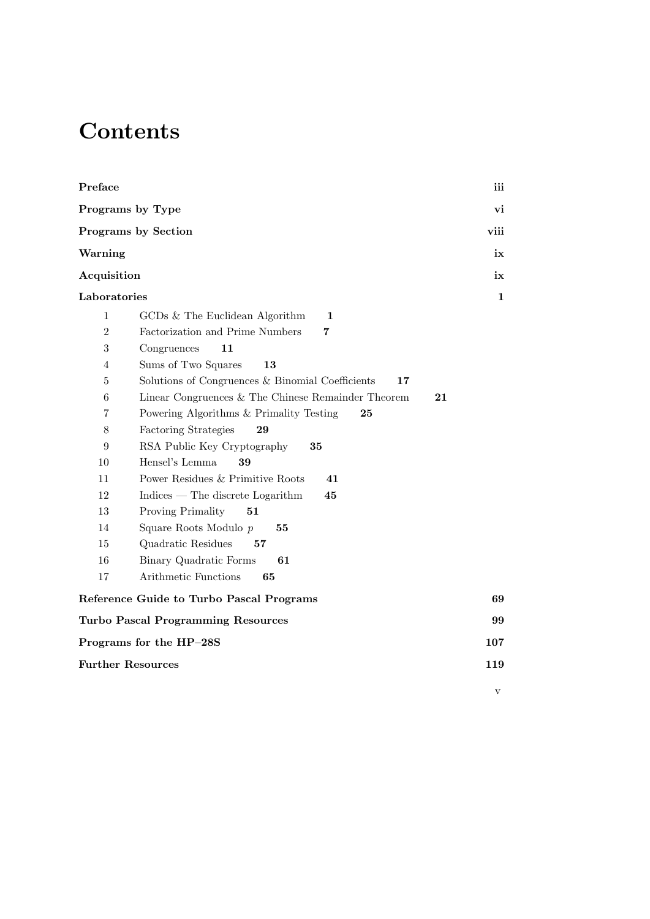## **Contents**

| Preface                                                                  | iii          |
|--------------------------------------------------------------------------|--------------|
| Programs by Type                                                         | vi           |
| <b>Programs by Section</b>                                               | viii         |
| Warning                                                                  | ix           |
| Acquisition                                                              | ix           |
| Laboratories                                                             | $\mathbf{1}$ |
|                                                                          |              |
| GCDs & The Euclidean Algorithm<br>$\mathbf{1}$<br>1                      |              |
| Factorization and Prime Numbers<br>$\overline{2}$<br>7                   |              |
| 3<br>Congruences<br>11                                                   |              |
| Sums of Two Squares<br>13<br>$\overline{4}$                              |              |
| Solutions of Congruences & Binomial Coefficients<br>$\overline{5}$<br>17 |              |
| 6<br>Linear Congruences & The Chinese Remainder Theorem<br>21            |              |
| Powering Algorithms & Primality Testing<br>7<br>25                       |              |
| 8<br>Factoring Strategies<br>29                                          |              |
| RSA Public Key Cryptography<br>9<br>35                                   |              |
| Hensel's Lemma<br>10<br>39                                               |              |
| 11<br>Power Residues & Primitive Roots<br>41                             |              |
| 12<br>$Indices$ — The discrete Logarithm<br>45                           |              |
| 13<br>Proving Primality<br>51                                            |              |
| 14<br>Square Roots Modulo p<br>55                                        |              |
| 15<br>Quadratic Residues<br>57                                           |              |
| 16<br>Binary Quadratic Forms<br>61                                       |              |
| Arithmetic Functions<br>17<br>65                                         |              |
| Reference Guide to Turbo Pascal Programs                                 | 69           |
| <b>Turbo Pascal Programming Resources</b>                                | 99           |
| Programs for the HP-28S                                                  | 107          |
| <b>Further Resources</b>                                                 | 119          |
|                                                                          |              |
|                                                                          | V            |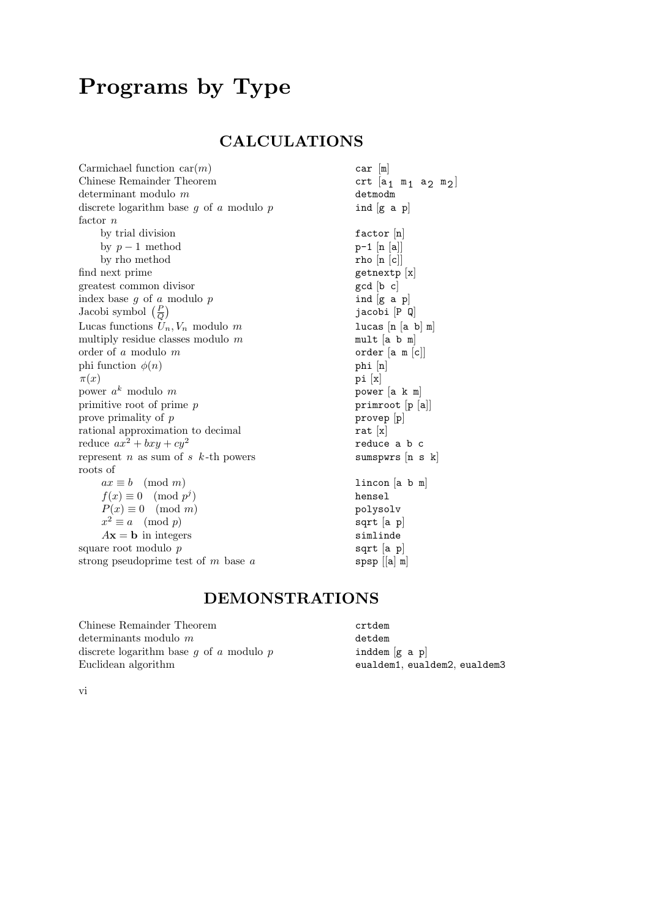# Programs by Type

### CALCULATIONS

| Carmichael function $car(m)$                         | $car$ $[m]$                |  |
|------------------------------------------------------|----------------------------|--|
| Chinese Remainder Theorem                            | crt $[a_1 \t m_1 a_2 m_2]$ |  |
| determinant modulo $m$                               | detmodm                    |  |
| discrete logarithm base $g$ of $a$ modulo $p$        | ind $[g \ a \ p]$          |  |
| factor $n$                                           |                            |  |
| by trial division                                    | factor $[n]$               |  |
| by $p-1$ method                                      | $p-1$ [n [a]]              |  |
| by rho method                                        | rho $[n   c]$              |  |
| find next prime                                      | getnextp [x]               |  |
| greatest common divisor                              | gcd [b c]                  |  |
| index base $g$ of $a$ modulo $p$                     | ind $[g \ a \ p]$          |  |
| Jacobi symbol $\left(\frac{P}{Q}\right)$             | jacobi [P Q]               |  |
| Lucas functions $U_n, V_n$ modulo m                  | lucas $[n a b] m$          |  |
| multiply residue classes modulo $m$                  | $mult$ [a b m]             |  |
| order of $a$ modulo $m$                              | order [a m [c]]            |  |
| phi function $\phi(n)$                               | $phi$ [n]                  |  |
| $\pi(x)$                                             | pi[x]                      |  |
| power $a^k$ modulo m                                 | power $[a \ k \ m]$        |  |
| primitive root of prime $p$                          | primroot [p [a]]           |  |
| prove primality of $p$                               | $provep$ $[p]$             |  |
| rational approximation to decimal                    | rat $[x]$                  |  |
| reduce $ax^2 + bxy + cy^2$                           | reduce a b c               |  |
| represent <i>n</i> as sum of <i>s</i> $k$ -th powers | sumspwrs [n s k]           |  |
| roots of                                             |                            |  |
| $ax \equiv b \pmod{m}$                               | lincon[a b m]              |  |
| $f(x) \equiv 0 \pmod{p^j}$                           | hensel                     |  |
| $P(x) \equiv 0 \pmod{m}$                             | polysolv                   |  |
| $x^2 \equiv a \pmod{p}$                              | $sqrt$ [a $p$ ]            |  |
| $A\mathbf{x} = \mathbf{b}$ in integers               | simlinde                   |  |
| square root modulo $p$                               | sqrt $[a, p]$              |  |
| strong pseudoprime test of $m$ base $a$              | $spsp$ $[ a ]$ m           |  |

### DEMONSTRATIONS

 $\begin{minipage}{.4\linewidth} \textbf{Chinese Remainder Theorem} \begin{minipage}{.4\linewidth} \textbf{crtdem} \\ \textbf{determinants modulo $m$} \end{minipage} \end{minipage}$ determinants modulo  $m$  detdem discrete logarithm base  $g$  of  $a$  modulo  $p$  detdem  $[g \, a \, p]$ discrete logarithm base  $g$  of  $a$  modulo  $p$ Euclidean algorithm eualdem1, eualdem2, eualdem3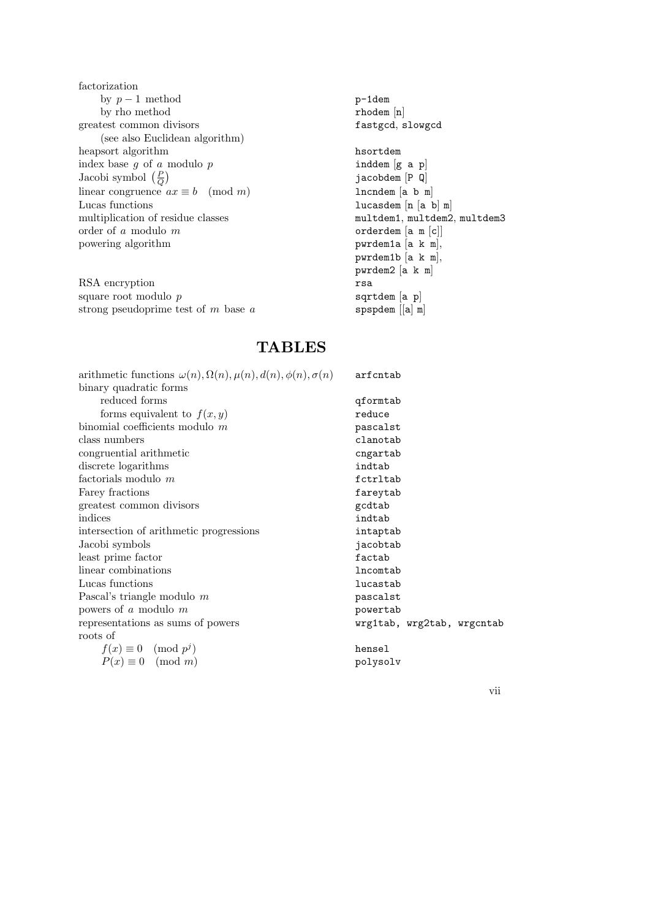factorization by  $p-1$  method p-1dem by rho method rhodem [n] greatest common divisors fastgcd, slowgcd (see also Euclidean algorithm) heapsort algorithm  $\begin{array}{ccc} \text{hasortdem} \\ \text{index base } g \text{ of } a \text{ modulo } p \end{array}$  hasortdem  $\begin{array}{ccc} \text{hasortdem} \\ \text{and} \text{em} \text{ [g a p]} \end{array}$ index base g of a modulo  $p$  inddem  $[g \; a \; p]$ Jacobi symbol  $\left(\frac{P}{C}\right)$  $\frac{P}{Q}$ linear congruence  $ax \equiv b \pmod{m}$  lncndem [a b m] Lucas functions lucasdem  $[n \succeq n]$ multiplication of residue classes multdem1, multdem2, multdem2, multdem3 order of a modulo  $m$  orderdem  $[a \t m[c]]$ powering algorithm pwrdem1a [a k m],

RSA encryption rsa square root modulo  $p$  sqrtdem [a p] strong pseudoprime test of  $m$  base  $a$  spspdem  $[[a] \; m]$ 

jacobdem [P Q] pwrdem1b [a k m], pwrdem2 [a k m]

#### **TABLES**

| arithmetic functions $\omega(n)$ , $\Omega(n)$ , $\mu(n)$ , $d(n)$ , $\phi(n)$ , $\sigma(n)$ | arfcntab                   |
|----------------------------------------------------------------------------------------------|----------------------------|
| binary quadratic forms                                                                       |                            |
| reduced forms                                                                                | qformtab                   |
| forms equivalent to $f(x, y)$                                                                | reduce                     |
| binomial coefficients modulo $m$                                                             | pascalst                   |
| class numbers                                                                                | clanotab                   |
| congruential arithmetic                                                                      | cngartab                   |
| discrete logarithms                                                                          | indtab                     |
| factorials modulo $m$                                                                        | fctrltab                   |
| Farey fractions                                                                              | fareytab                   |
| greatest common divisors                                                                     | gcdtab                     |
| indices                                                                                      | indtab                     |
| intersection of arithmetic progressions                                                      | intaptab                   |
| Jacobi symbols                                                                               | jacobtab                   |
| least prime factor                                                                           | factab                     |
| linear combinations                                                                          | lncomtab                   |
| Lucas functions                                                                              | lucastab                   |
| Pascal's triangle modulo $m$                                                                 | pascalst                   |
| powers of a modulo $m$                                                                       | powertab                   |
| representations as sums of powers                                                            | wrg1tab, wrg2tab, wrgcntab |
| roots of                                                                                     |                            |
| $f(x) \equiv 0 \pmod{p^j}$                                                                   | hensel                     |
| $P(x) \equiv 0 \pmod{m}$                                                                     | polysolv                   |
|                                                                                              |                            |

vii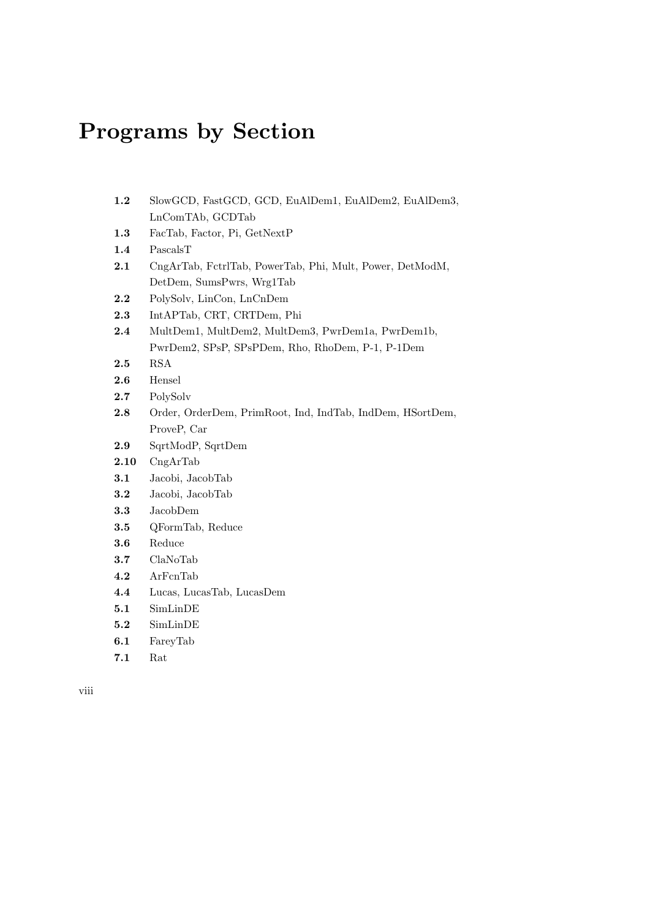## Programs by Section

- 1.2 SlowGCD, FastGCD, GCD, EuAlDem1, EuAlDem2, EuAlDem3, LnComTAb, GCDTab
- 1.3 FacTab, Factor, Pi, GetNextP
- 1.4 PascalsT
- 2.1 CngArTab, FctrlTab, PowerTab, Phi, Mult, Power, DetModM, DetDem, SumsPwrs, Wrg1Tab
- 2.2 PolySolv, LinCon, LnCnDem
- 2.3 IntAPTab, CRT, CRTDem, Phi
- 2.4 MultDem1, MultDem2, MultDem3, PwrDem1a, PwrDem1b, PwrDem2, SPsP, SPsPDem, Rho, RhoDem, P-1, P-1Dem
- 2.5 RSA
- 2.6 Hensel
- 2.7 PolySolv
- 2.8 Order, OrderDem, PrimRoot, Ind, IndTab, IndDem, HSortDem, ProveP, Car
- 2.9 SqrtModP, SqrtDem
- 2.10 CngArTab
- 3.1 Jacobi, JacobTab
- 3.2 Jacobi, JacobTab
- 3.3 JacobDem
- 3.5 QFormTab, Reduce
- 3.6 Reduce
- 3.7 ClaNoTab
- 4.2 ArFcnTab
- 4.4 Lucas, LucasTab, LucasDem
- 5.1 SimLinDE
- 5.2 SimLinDE
- 6.1 FareyTab
- 7.1 Rat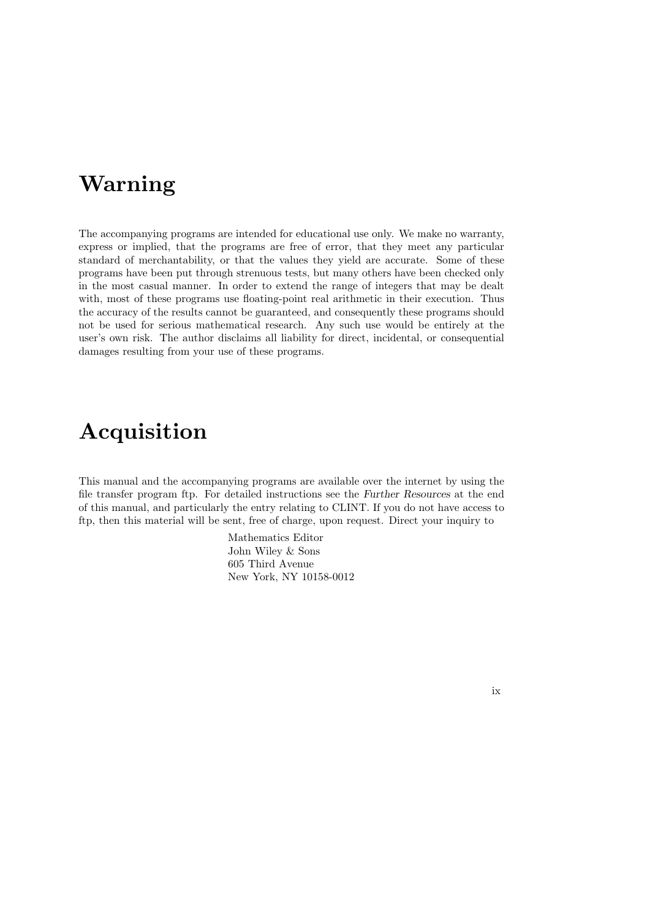### Warning

The accompanying programs are intended for educational use only. We make no warranty, express or implied, that the programs are free of error, that they meet any particular standard of merchantability, or that the values they yield are accurate. Some of these programs have been put through strenuous tests, but many others have been checked only in the most casual manner. In order to extend the range of integers that may be dealt with, most of these programs use floating-point real arithmetic in their execution. Thus the accuracy of the results cannot be guaranteed, and consequently these programs should not be used for serious mathematical research. Any such use would be entirely at the user's own risk. The author disclaims all liability for direct, incidental, or consequential damages resulting from your use of these programs.

## Acquisition

This manual and the accompanying programs are available over the internet by using the file transfer program ftp. For detailed instructions see the Further Resources at the end of this manual, and particularly the entry relating to CLINT. If you do not have access to ftp, then this material will be sent, free of charge, upon request. Direct your inquiry to

> Mathematics Editor John Wiley & Sons 605 Third Avenue New York, NY 10158-0012